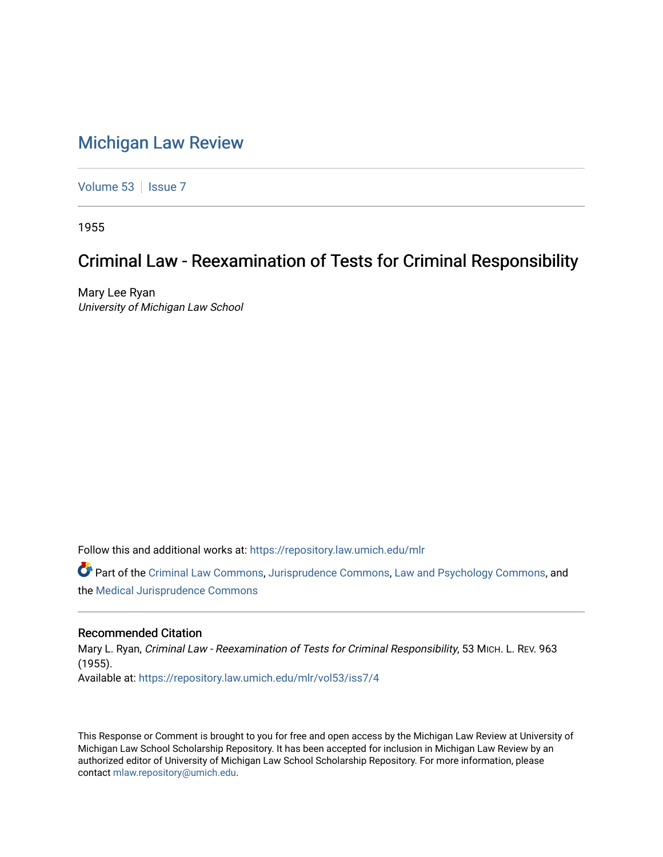## [Michigan Law Review](https://repository.law.umich.edu/mlr)

[Volume 53](https://repository.law.umich.edu/mlr/vol53) | [Issue 7](https://repository.law.umich.edu/mlr/vol53/iss7)

1955

# Criminal Law - Reexamination of Tests for Criminal Responsibility

Mary Lee Ryan University of Michigan Law School

Follow this and additional works at: [https://repository.law.umich.edu/mlr](https://repository.law.umich.edu/mlr?utm_source=repository.law.umich.edu%2Fmlr%2Fvol53%2Fiss7%2F4&utm_medium=PDF&utm_campaign=PDFCoverPages) 

Part of the [Criminal Law Commons,](http://network.bepress.com/hgg/discipline/912?utm_source=repository.law.umich.edu%2Fmlr%2Fvol53%2Fiss7%2F4&utm_medium=PDF&utm_campaign=PDFCoverPages) [Jurisprudence Commons](http://network.bepress.com/hgg/discipline/610?utm_source=repository.law.umich.edu%2Fmlr%2Fvol53%2Fiss7%2F4&utm_medium=PDF&utm_campaign=PDFCoverPages), [Law and Psychology Commons](http://network.bepress.com/hgg/discipline/870?utm_source=repository.law.umich.edu%2Fmlr%2Fvol53%2Fiss7%2F4&utm_medium=PDF&utm_campaign=PDFCoverPages), and the [Medical Jurisprudence Commons](http://network.bepress.com/hgg/discipline/860?utm_source=repository.law.umich.edu%2Fmlr%2Fvol53%2Fiss7%2F4&utm_medium=PDF&utm_campaign=PDFCoverPages)

#### Recommended Citation

Mary L. Ryan, Criminal Law - Reexamination of Tests for Criminal Responsibility, 53 MICH. L. REV. 963 (1955). Available at: [https://repository.law.umich.edu/mlr/vol53/iss7/4](https://repository.law.umich.edu/mlr/vol53/iss7/4?utm_source=repository.law.umich.edu%2Fmlr%2Fvol53%2Fiss7%2F4&utm_medium=PDF&utm_campaign=PDFCoverPages)

This Response or Comment is brought to you for free and open access by the Michigan Law Review at University of Michigan Law School Scholarship Repository. It has been accepted for inclusion in Michigan Law Review by an authorized editor of University of Michigan Law School Scholarship Repository. For more information, please contact [mlaw.repository@umich.edu](mailto:mlaw.repository@umich.edu).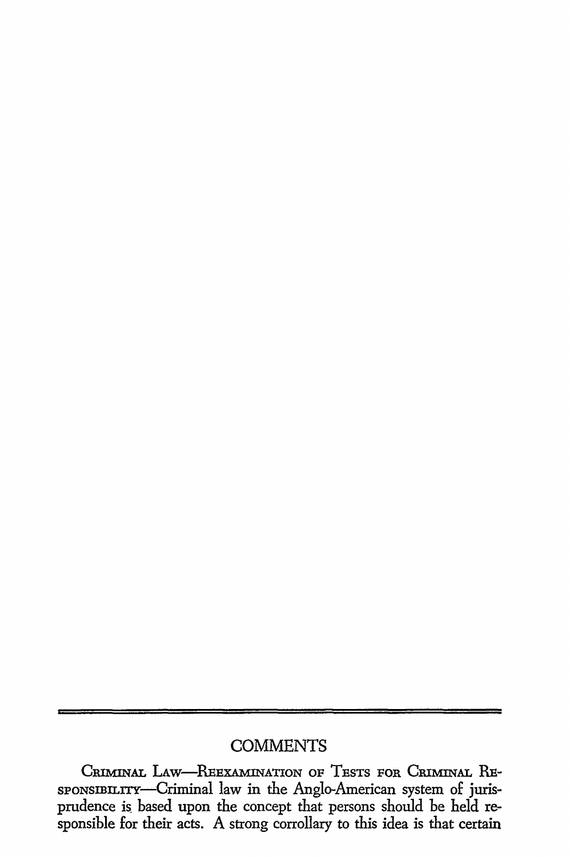## **COMMENTS**

CRIMINAL LAW-REEXAMINATION OF TESTS FOR CRIMINAL RE-SPONSIBILITY-Criminal law in the Anglo-American system of jurisprudence is. based upon the concept that persons should be held responsible for their acts. A strong corrollary to this idea is that certain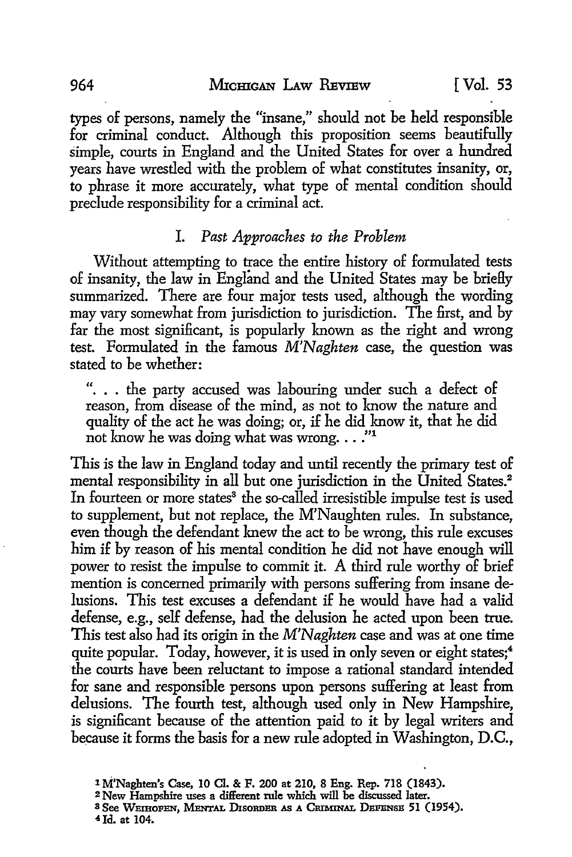types of persons, namely the "insane," should not be held responsible for criminal conduct. Although this proposition seems beautifully simple, courts in England and the United States for over a hundred years have wrestled with the problem of what constitutes insanity, or, to phrase it more accurately, what type of mental condition should preclude responsibility for a criminal act.

#### I. *Past Approaches to the Problem*

Without attempting to trace the entire history of formulated tests of insanity, the law in England and the United States may be briefly summarized. There are four major tests used, although the wording may vary somewhat from jurisdiction to jurisdiction. The first, and by far the most significant, is popularly known as the right and wrong test. Formulated in the famous *M'Naghten* case, the question was stated to be whether:

". . . the party accused was labouring under such a defect of reason, from disease of the mind, as not to know the nature and quality of the act he was doing; or, if he did know it, that he did not know he was doing what was wrong...."

This is the law in England today and until recently the primary test of mental responsibility in all but one jurisdiction in the United States.<sup>2</sup> In fourteen or more states<sup>3</sup> the so-called irresistible impulse test is used to supplement, but not replace, the M'Naughten rules. In substance, even though the defendant knew the act to be wrong, this rule excuses him if by reason of his mental condition he did not have enough will power to resist the impulse to commit it. A third rule worthy of brief mention is concerned primarily with persons suffering from insane delusions. This test excuses a defendant if he would have had a valid defense, e.g., self defense, had the delusion he acted upon been true. This test also had its origin in the *M'Naghten* case and was at one time quite popular. Today, however, it is used in only seven or eight states;<sup>4</sup> the courts have been reluctant to impose a rational standard intended for sane and responsible persons upon persons suffering at least from delusions. The fourth test, although used only in New Hampshire, is significant because of the attention paid to it by legal writers and because it forms the basis for a new rule adopted in Washington, D.C.,

4Jd. at 104.

<sup>1</sup> M'Naghten's Case, 10 Cl. & F. 200 at 210, 8 Eng. Rep. 718 (1843).

<sup>&</sup>lt;sup>3</sup> See Weihofen, Mental Disorder as a Criminal Defense 51 (1954).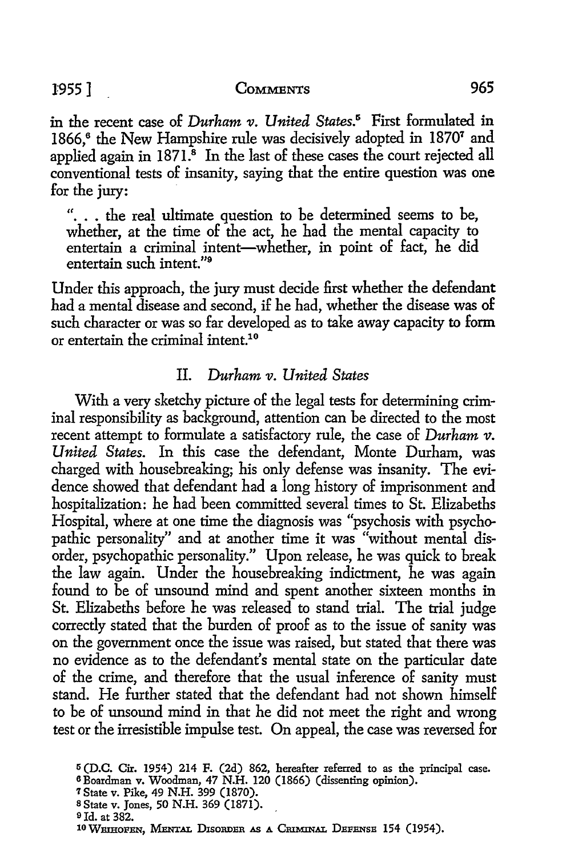### 1955] CoMMBNTs 965

in the recent case of *Durham v. United States.*<sup>5</sup> First formulated in 1866,6 the New Hampshire rule was decisively adopted in 18707 and applied again in  $1871<sup>3</sup>$  In the last of these cases the court rejected all conventional tests of insanity, saying that the entire question was one for the jury:

". . . the real ultimate question to be determined seems to be, whether, at the time of the act, he had the mental capacity to entertain a criminal intent-whether, in point of fact, he did entertain such intent."<sup>9</sup>

Under this approach, the jury must decide first whether the defendant had a mental disease and second, if he had, whether the disease was of such character or was so far developed as to take away capacity to form or entertain the criminal intent.<sup>10</sup>

#### IL *Durham v. United States*

With a very sketchy picture of the legal tests for determining criminal responsibility as background, attention can be directed to the most recent attempt to formulate a satisfactory rule, the case of *Durham v. United States.* In this case the defendant, Monte Durham, was charged with housebreaking; his only defense was insanity. The evidence showed that defendant had a long history of imprisonment and hospitalization: he had been committed several times to St. Elizabeths Hospital, where at one time the diagnosis was "psychosis with psychopathic personality" and at another time it was "without mental disorder, psychopathic personality." Upon release, he was quick to break the law again. Under the housebreaking indictment, he was again found to be of unsound mind and spent another sixteen months in St. Elizabeths before he was released to stand trial. The trial judge correctly stated that the burden of proof as to the issue of sanity was on the government once the issue was raised, but stated that there was no evidence as to the defendant's mental state on the particular date of the crime, and therefore that the usual inference of sanity must stand. He further stated that the defendant had not shown himself to be of unsound mind in that he did not meet the right and wrong test or the irresistible impulse test. On appeal, the case was reversed for

 $5$  (D.C. Cir. 1954) 214 F. (2d) 862, hereafter referred to as the principal case.

<sup>6</sup>Boardman v. Woodman, 47 N.H. 120 (1866) (dissenting opinion).

*<sup>1</sup>* State v. Pike, 49 N.H. 399 (1870).

s State v. Jones, 50 N.H. 369 (1871).

<sup>&</sup>lt;sup>9</sup> Id. at 382.

<sup>10</sup> WEIHOFEN, MENTAL DISORDER AS A CRIMINAL DEFENSE 154 (1954).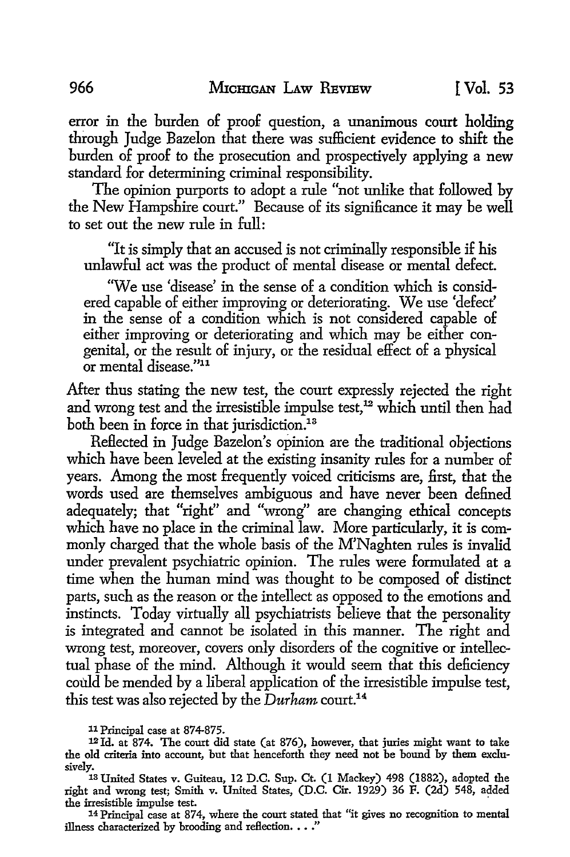error in the burden of proof question, a unanimous court holding through Judge Bazelon that there was sufficient evidence to shift the burden of proof to the prosecution and prospectively applying a new standard for determining criminal responsibility.

The opinion purports to adopt a rule "not unlike that followed by the New Hampshire court." Because of its significance it may be well to set out the new rule in full:

"It is simply that an accused is not criminally responsible if his unlawful act was the product of mental disease or mental defect.

"We use 'disease' in the sense of a condition which is considered capable of either improving or deteriorating. We use 'defect' in the sense of a condition which is not considered capable of either improving or deteriorating and which may be either congenital, or the result of injury, or the residual effect of a physical or mental disease."11

After thus stating the new test, the court expressly rejected the right and wrong test and the irresistible impulse test,<sup>12</sup> which until then had both been in force in that jurisdiction.<sup>13</sup>

Reflected in Judge Bazelon's opinion are the traditional objections which have been leveled at the existing insanity rules for a number of years. Among the most frequently voiced criticisms are, first, that the words used are themselves ambiguous and have never been defined adequately; that "right" and "wrong" are changing ethical concepts which have no place in the criminal law. More particularly, it is commonly charged that the whole basis of the M'Naghten rules is invalid under prevalent psychiatric opinion. The rules were formulated at a time when the human mind was thought to be composed of distinct parts, such as the reason or the intellect as opposed to the emotions and instincts. Today virtually all psychiatrists believe that the personality is integrated and cannot be isolated in this manner. The right and wrong test, moreover, covers only disorders of the cognitive or intellectual phase of the mind. Although it would seem that this deficiency could be mended by a liberal application of the irresistible impulse test, this test was also rejected by the *Durham* court.<sup>14</sup>

11 Principal case at 874-875.

12 Id. at 874. The court did state (at 876), however, that juries might want to take the old criteria into account, but that henceforth they need not be bound by them exclu-

sively. 13 United States v. Guiteau, 12 D.C. Sup. Ct. (1 Mackey) 498 (1882), adopted the right and wrong test; Smith v. United States, (D.C. Cir. 1929) 36 F. (2d) 548, added the irresistible impulse test.

14 Principal case at 874, where the court stated that "it gives no recognition to mental illness characterized by brooding and reflection.  $\ldots$ ."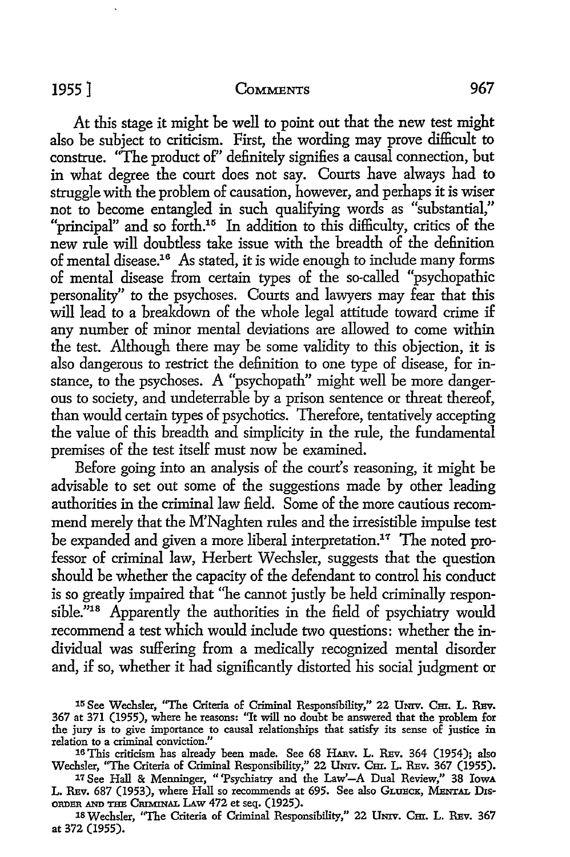At this stage it might be well to point out that the new test might also be subject to criticism. First, the wording may prove difficult to construe. "The product of" definitely signifies a causal connection, but in what degree the court does not say. Courts have always had to struggle with the problem of causation, however, and perhaps it is wiser not to become entangled in such qualifying words as "substantial," "principal" and so forth.<sup>15</sup> In addition to this difficulty, critics of the new rule will doubtless take issue with the breadth of the definition of mental disease.16 As stated, it is wide enough to include many forms of mental disease from certain types of the so-called "psychopathic personality" *to* the psychoses. Courts and lawyers may fear that this will lead to a breakdown of the whole legal attitude toward crime if any number of minor mental deviations are allowed to come within the test. Although there may be some validity to this objection, it is also dangerous to restrict the definition to one type of disease, for instance, to the psychoses. A "psychopath" might well be more dangerous to society, and undeterrable by a prison sentence or threat thereof, than would certain types of psychotics. Therefore, tentatively accepting the value of this breadth and simplicity in the rule, the fundamental premises of the test itself must now be examined.

Before going into an analysis of the court's reasoning, it might be advisable to set out some of the suggestions made by other leading authorities in the criminal law field. Some of the more cautious recommend merely that the M'Naghten rules and the irresistible impulse test be expanded and given a more liberal interpretation.<sup>17</sup> The noted professor of criminal law, Herbert Wechsler, suggests that the question should be whether the capacity of the defendant to control his conduct is so greatly impaired that "he cannot justly be held criminally responsible."<sup>18</sup> Apparently the authorities in the field of psychiatry would recommend a test which would include two questions: whether the individual was suffering from a medically recognized mental disorder and, if so, whether it had significantly distorted his social judgment or

17 See Hall & Menninger, "'Psychiatry and the Law'-A Dual Review," 38 IowA L. REV. 687 (1953), where Hall so recommends at 695. See also GLUECK, MENTAL DIS-ORDER AND THE CruMINAL LAw 472 et seq. (1925).

18 Wechsler, "The Criteria of Criminal Responsibility," 22 UNIV. Cm. L. REV. 367 at 372 (1955).

<sup>15</sup> See Wechsler, "The Criteria of Criminal Responsibility," 22 UNIV. CEL. L. REV. 367 at 371 (1955), where he reasons: ''It will no doubt be answered that the problem for the jury is to give importance to causal relationships that satisfy its sense of justice in relation to a criminal conviction."

<sup>16</sup> This criticism has already been made. See 68 HARV. L. REV. 364 (1954); also Wechsler, "The Criteria of Criminal Responsibility," 22 UNIV. CHI. L. REV. 367 (1955).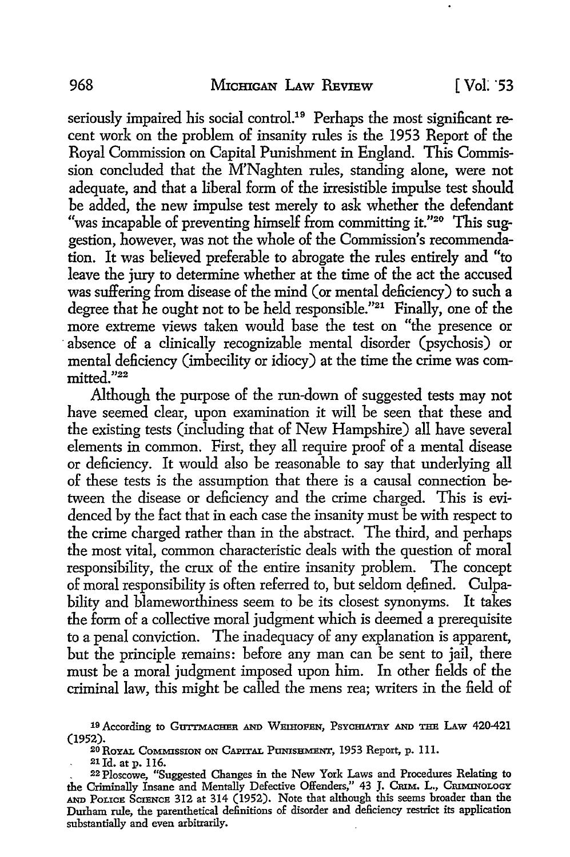seriously impaired his social control.<sup>19</sup> Perhaps the most significant recent work on the problem of insanity rules is the 1953 Report of the Royal Commission on Capital Punishment in England. This Commission concluded that the M'Naghten rules, standing alone, were not adequate, and that a liberal form of the irresistible impulse test should be added, the new impulse test merely to ask whether the defendant "was incapable of preventing himself from committing it."20 This suggestion, however, was not the whole of the Commission's recommendation. It was believed preferable to abrogate the rules entirely and "to leave the jury to determine whether at the time of the act the accused was suffering from disease of the mind (or mental deficiency) to such a degree that he ought not to be held responsible."21 Finally, one of the more extreme views taken would base the test on "the presence or absence of a clinically recognizable mental disorder (psychosis) or mental deficiency (imbecility or idiocy) at the time the crime was com  $mitted."22$ 

Although the purpose of the run-down of suggested tests may not have seemed clear, upon examination it will be seen that these and the existing tests (including that of New Hampshire) all have several elements in common. First, they all require proof of a mental disease or deficiency. It would also be reasonable to say that underlying all of these tests is the assumption that there is a causal connection between the disease or deficiency and the crime charged. This is evidenced by the fact that in each case the insanity must be with respect to the crime charged rather than in the abstract. The third, and perhaps the most vital, common characteristic deals with the question of moral responsibility, the crux of the entire insanity problem. The concept of moral responsibility is often referred to, but seldom defined. Culpability and blameworthiness seem to be its closest synonyms. It takes the form of a collective moral judgment which is deemed a prerequisite to a penal conviction. The inadequacy of any explanation is apparent, but the principle remains: before any man can be sent to jail, there must be a moral judgment imposed upon him. In other fields of the criminal law, this might be called the mens rea; writers in the field of

21 Id. at p. 116.

<sup>&</sup>lt;sup>19</sup> According to GUITMACHER AND WEIHOFEN, PSYCHIATRY AND THE LAW 420-421 (1952).

<sup>20</sup> ROYAL COMMISSION ON CAPITAL PUNISHMENT, 1953 Report, p. 111.

<sup>. 22</sup>Ploscowe, "Suggested Changes in the New York Laws and Procedures Relating to the Criminally Insane and Mentally Defective Offenders," 43 J. CRIM. L., CRIMINOLOGY AND PoucE SCIENCE 312 at 314 (1952). Note that although this seems broader than the Durham rule, the parenthetical definitions of disorder and deficiency restrict its application substantially and even arbitrarily.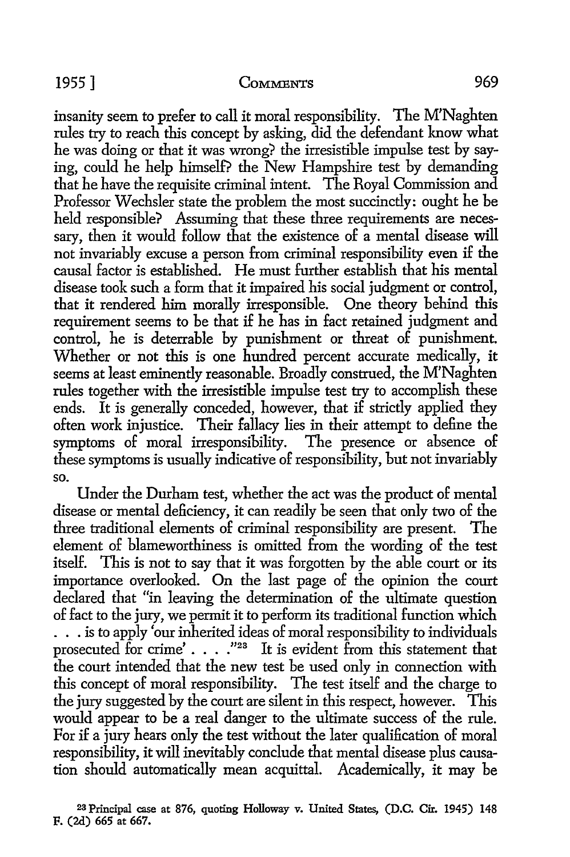insanity seem to prefer to call it moral responsibility. The M'Naghten rules try to reach this concept by asking, did the defendant know what he was doing or that it was wrong? the irresistible impulse test by saying, could he help himself? the New Hampshire test by demanding that he have the requisite criminal intent. The Royal Commission and Professor Wechsler state the problem the most succinctly: ought he be held responsible? Assuming that these three requirements are necessary, then it would follow that the existence of a mental disease will not invariably excuse a person from criminal responsibility even if the causal factor is established. He must further establish that his mental disease took such a form that it impaired his social judgment or control, that it rendered him morally irresponsible. One theory behind this requirement seems to be that if he has in fact retained judgment and control, he is deterrable by punishment or threat of punishment. Whether or not this is one hundred percent accurate medically, it seems at least eminently reasonable. Broadly construed, the M'Naghten rules together with the irresistible impulse test try to accomplish these ends. It is generally conceded, however, that if strictly applied they often work injustice. Their fallacy lies in their attempt to define the symptoms of moral irresponsibility. The presence or absence of these symptoms is usually indicative of responsibility, but not invariably **so.** 

Under the Durham test, whether the act was the product of mental disease or mental deficiency, it can readily be seen that only two of the three traditional elements of criminal responsibility are present. The element of blameworthiness is omitted from the wording of the test itself. This is not to say that it was forgotten by the able court or its importance overlooked. On the last page of the opinion the court declared that "in leaving the determination of the ultimate question of fact to the jury, we permit it to perform its traditional function which . . . is to apply 'our inherited ideas of moral responsibility to individuals prosecuted for crime'  $\ldots$ . "<sup>23</sup> It is evident from this statement that the court intended that the new test be used only in connection with this concept of moral responsibility. The test itself and the charge to the jury suggested by the court are silent in this respect, however. This would appear to be a real danger to the ultimate success of the rule. For if a jury hears only the test without the later qualification of moral responsibility, it will inevitably conclude that mental disease plus causation should automatically mean acquittal. Academically, it may be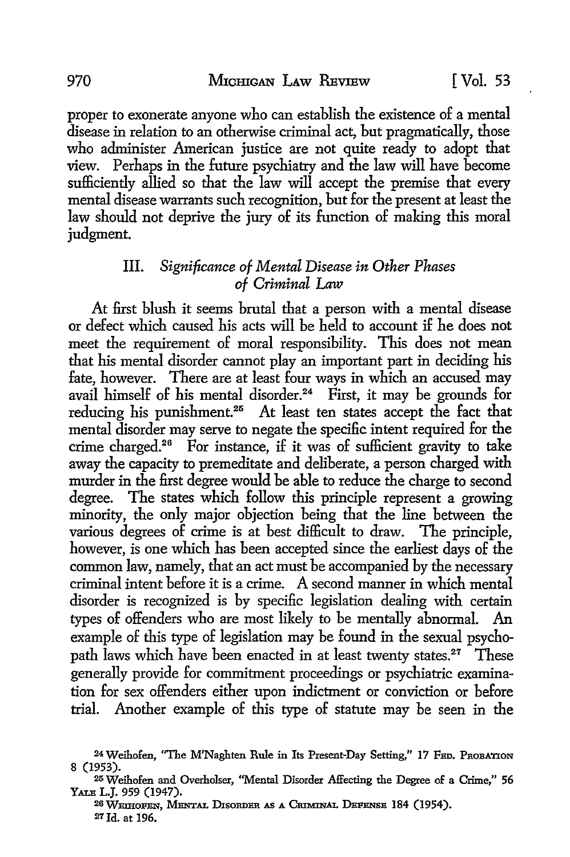proper to exonerate anyone who can establish the existence of a mental disease in relation to an otherwise criminal act, but pragmatically, those who administer American justice are not quite ready to adopt that view. Perhaps in the future psychiatry and the law will have become sufficiently allied so that the law will accept the premise that every mental disease warrants such recognition, but for the present at least the law should not deprive the jury of its function of making this moral judgment.

#### III. *Significance of Mental Disease in Other Phases of Criminal* Law

At first blush it seems brutal that a person with a mental disease or defect which caused his acts will be held to account if he does not meet the requirement of moral responsibility. This does not mean that his mental disorder cannot play an important part in deciding his fate, however. There are at least four ways in which an accused may avail himself of his mental disorder.<sup>24</sup> First, it may be grounds for reducing his punishment.<sup>25</sup> At least ten states accept the fact that mental disorder may serve to negate the specific intent required for the crime charged.26 For instance, if it was of sufficient gravity to take away the capacity to premeditate and deliberate, a person charged with murder in the first degree would be able to reduce the charge to second degree. The states which follow this principle represent a growing minority, the only major objection being that the line between the various degrees of crime is at best difficult to draw. The principle, however, is one which has been accepted since the earliest days of the common law, namely, that an act must be accompanied by the necessary criminal intent before it is a crime. A second manner in which mental disorder is recognized is by specific legislation dealing with certain types of offenders who are most likely to be mentally abnormal. An example of this type of legislation may be found in the sexual psychopath laws which have been enacted in at least twenty states.<sup>27</sup> These generally provide for commitment proceedings or psychiatric examination for sex offenders either upon indictment or conviction or before trial. Another example of this type of statute may be seen in the

26 WEIHOFEN, MENTAL DISORDER AS A CRIMINAL DEFENSE 184 (1954). 27 Jd. at 196.

<sup>&</sup>lt;sup>24</sup> Weihofen, "The M'Naghten Rule in Its Present-Day Setting," 17 FED. PROBATION 8 (1953).

<sup>25</sup> Weihofen and Overholser, "Mental Disorder Affecting the Degree of a Crime," 56 YALE L.J. 959 (1947).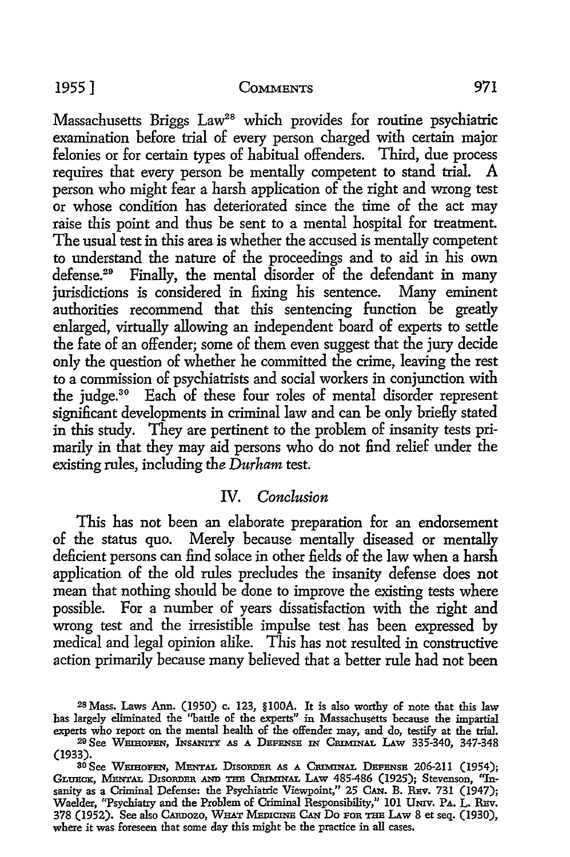Massachusetts Briggs Law<sup>28</sup> which provides for routine psychiatric examination before trial of every person charged with certain major felonies or for certain types of habitual offenders. Third, due process requires that every person be mentally competent to stand trial. A person who might fear a harsh application of the right and wrong test or whose condition has deteriorated since the time of the act may raise this point and thus be sent *to* a mental hospital for treatment. The usual *test* in this area is whether the accused is mentally competent to understand the nature of the proceedings and to aid in his own defense.<sup>29</sup> Finally, the mental disorder of the defendant in many<br>jurisdictions is considered in fixing his sentence. Many eminent jurisdictions is considered in fixing his sentence. authorities recommend that this sentencing function be greatly enlarged, virtually allowing an independent board of experts *to* settle the fate of an offender; some of them even suggest that the jury decide only the question of whether he committed the crime, leaving the rest *to* a commission of psychiatrists and social workers in conjunction with the judge.30 Each of these four roles of mental disorder represent significant developments in criminal law and can be only briefly stated in this study. They are pertinent to the problem of insanity *tests* primarily in that they may aid persons who do not find relief under the existing rules, including the *Durham test.* 

#### IV. *Conclusion*

This has not been an elaborate preparation for an endorsement of the status quo. Merely because mentally diseased or mentally deficient persons can find solace in other fields of the law when a harsh application of the old rules precludes the insanity defense does not mean that nothing should be done to improve the existing tests where possible. For a number of years dissatisfaction with the right and wrong test and the irresistible impulse test has been expressed by medical and legal opinion alike. This has not resulted in constructive action primarily because many believed that a better rule had not been

<sup>28</sup> Mass. Laws Ann. (1950) c. 123, §lO0A. It is also worthy of note that this law has largely eliminated the ''battle of the experts" in Massachusetts because the impartial experts who report on the mental health of the offender may, and do, testify at the trial.

<sup>20</sup> See WEmoFEN, lNs.ANITY AS A DEFENSE IN CRIMINAL LAw 335-340, 347-348 (1933).

<sup>30</sup> See WEmoFEN, MENTAL DISORDER AS A CmMINAL DEFENSE 206-211 (1954); GLUECK, MENTAL DISORDER AND THE CRIMINAL LAW 485-486 (1925); Stevenson, "Insanity as a Criminal Defense: the Psychiatric Viewpoint," 25 CAN. B. REV. 731 (1947); Waelder, "Psychiatry and the Problem of Criminal Responsibility," 101 UNIV. PA. L. REV. 378 (1952). See also CARDOzo, WHAT MEDICINE CAN Do FOR THE LAw 8 et seq. (1930), where it was foreseen that some day this might be the practice in all cases.